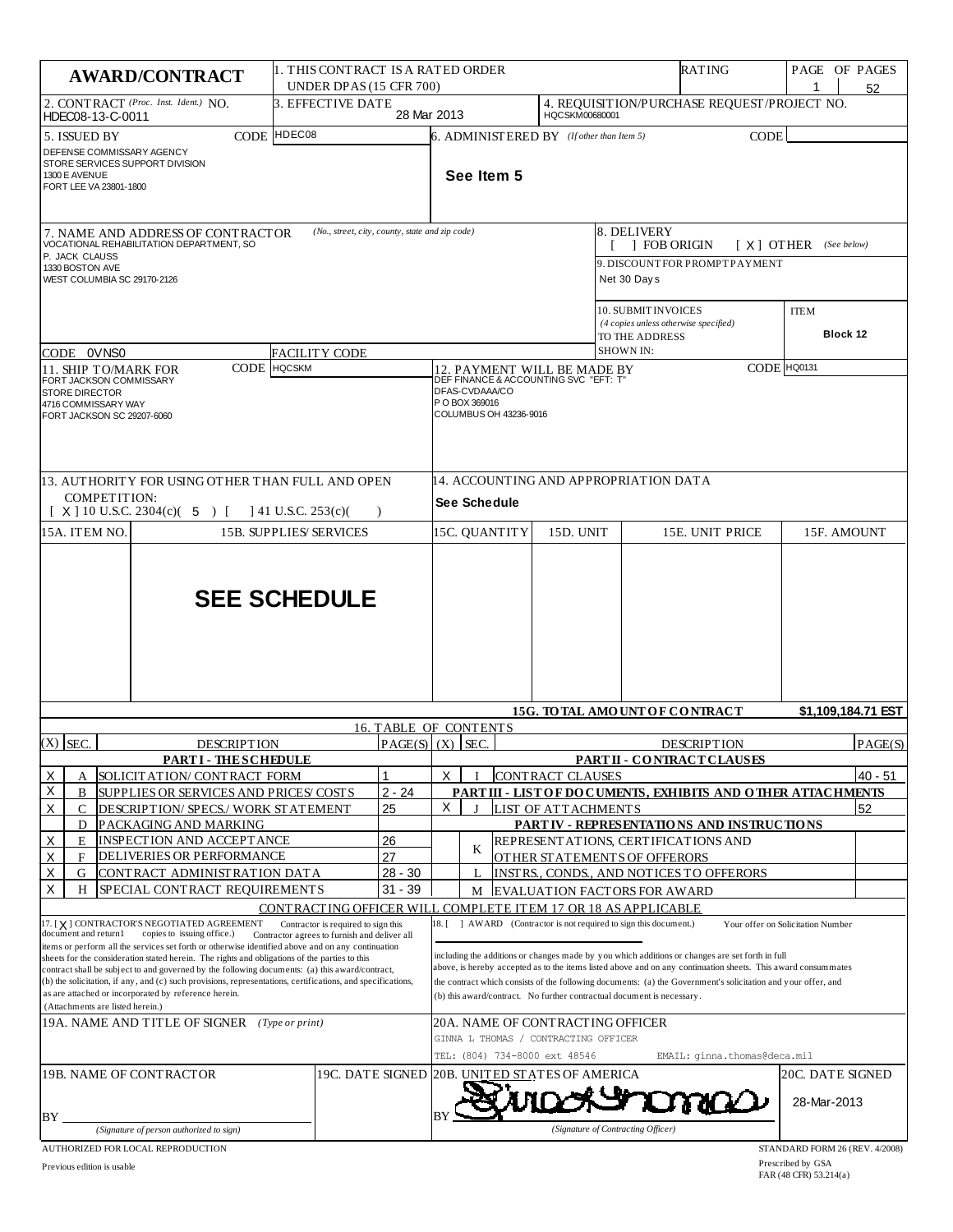| <b>AWARD/CONTRACT</b>                                                                                                                                                                                                                                                                                                                                                                                                                                                                                                                                                                                                 |                                           | 11. THIS CONTRACT IS A RATED ORDER<br>UNDER DPAS (15 CFR 700)                                        |                                                      |                                                                                                                                                                                                                                                                                                                                                                                                                                                                            | RATING                                                                                             |                                        |  |                                                                      |                                             | PAGE OF PAGES<br>52     |                                   |         |  |  |
|-----------------------------------------------------------------------------------------------------------------------------------------------------------------------------------------------------------------------------------------------------------------------------------------------------------------------------------------------------------------------------------------------------------------------------------------------------------------------------------------------------------------------------------------------------------------------------------------------------------------------|-------------------------------------------|------------------------------------------------------------------------------------------------------|------------------------------------------------------|----------------------------------------------------------------------------------------------------------------------------------------------------------------------------------------------------------------------------------------------------------------------------------------------------------------------------------------------------------------------------------------------------------------------------------------------------------------------------|----------------------------------------------------------------------------------------------------|----------------------------------------|--|----------------------------------------------------------------------|---------------------------------------------|-------------------------|-----------------------------------|---------|--|--|
| 2. CONTRACT (Proc. Inst. Ident.) NO.<br>3. EFFECTIVE DATE<br>HDEC08-13-C-0011                                                                                                                                                                                                                                                                                                                                                                                                                                                                                                                                         |                                           |                                                                                                      |                                                      | HQCSKM00680001<br>28 Mar 2013                                                                                                                                                                                                                                                                                                                                                                                                                                              |                                                                                                    |                                        |  |                                                                      | 4. REQUISITION/PURCHASE REQUEST/PROJECT NO. |                         |                                   |         |  |  |
| CODE HDEC08<br>5. ISSUED BY<br>DEFENSE COMMISSARY AGENCY<br>STORE SERVICES SUPPORT DIVISION<br>1300 E AVENUE<br>FORT LEE VA 23801-1800                                                                                                                                                                                                                                                                                                                                                                                                                                                                                |                                           |                                                                                                      |                                                      |                                                                                                                                                                                                                                                                                                                                                                                                                                                                            | 6. ADMINISTERED BY (If other than Item 5)<br><b>CODE</b><br>See Item 5                             |                                        |  |                                                                      |                                             |                         |                                   |         |  |  |
| (No., street, city, county, state and zip code)<br>7. NAME AND ADDRESS OF CONTRACTOR<br>VOCATIONAL REHABILITATION DEPARTMENT, SO                                                                                                                                                                                                                                                                                                                                                                                                                                                                                      |                                           |                                                                                                      |                                                      |                                                                                                                                                                                                                                                                                                                                                                                                                                                                            | 8. DELIVERY<br><b>FOB ORIGIN</b><br>$[X]$ OTHER (See below)                                        |                                        |  |                                                                      |                                             |                         |                                   |         |  |  |
| P. JACK CLAUSS<br>1330 BOSTON AVE<br>WEST COLUMBIA SC 29170-2126                                                                                                                                                                                                                                                                                                                                                                                                                                                                                                                                                      |                                           |                                                                                                      |                                                      |                                                                                                                                                                                                                                                                                                                                                                                                                                                                            |                                                                                                    |                                        |  | Net 30 Days                                                          | 9. DISCOUNT FOR PROMPT PAYMENT              |                         |                                   |         |  |  |
| CODE 0VNS0<br>FACILITY CODE                                                                                                                                                                                                                                                                                                                                                                                                                                                                                                                                                                                           |                                           |                                                                                                      |                                                      |                                                                                                                                                                                                                                                                                                                                                                                                                                                                            | 10. SUBMIT INVOICES<br>(4 copies unless otherwise specified)<br>TO THE ADDRESS<br><b>SHOWN IN:</b> |                                        |  |                                                                      |                                             | <b>ITEM</b>             | <b>Block 12</b>                   |         |  |  |
| 11. SHIP TO/MARK FOR                                                                                                                                                                                                                                                                                                                                                                                                                                                                                                                                                                                                  | <b>CODE</b> HQCSKM                        |                                                                                                      |                                                      |                                                                                                                                                                                                                                                                                                                                                                                                                                                                            |                                                                                                    |                                        |  |                                                                      |                                             |                         | CODE HQ0131                       |         |  |  |
| FORT JACKSON COMMISSARY<br><b>STORE DIRECTOR</b><br>4716 COMMISSARY WAY<br>FORT JACKSON SC 29207-6060                                                                                                                                                                                                                                                                                                                                                                                                                                                                                                                 |                                           |                                                                                                      |                                                      | 12. PAYMENT WILL BE MADE BY<br>DEF FINANCE & ACCOUNTING SVC "EFT: T"<br>DFAS-CVDAAA/CO<br>P O BOX 369016<br>COLUMBUS OH 43236-9016                                                                                                                                                                                                                                                                                                                                         |                                                                                                    |                                        |  |                                                                      |                                             |                         |                                   |         |  |  |
| 13. AUTHORITY FOR USING OTHER THAN FULL AND OPEN<br>COMPETITION:<br>$[X]$ 10 U.S.C. 2304(c)( 5) [<br>$141$ U.S.C. 253(c)(                                                                                                                                                                                                                                                                                                                                                                                                                                                                                             |                                           |                                                                                                      |                                                      | 14. ACCOUNTING AND APPROPRIATION DATA<br>See Schedule                                                                                                                                                                                                                                                                                                                                                                                                                      |                                                                                                    |                                        |  |                                                                      |                                             |                         |                                   |         |  |  |
| 15A. ITEM NO.                                                                                                                                                                                                                                                                                                                                                                                                                                                                                                                                                                                                         | <b>15B. SUPPLIES/ SERVICES</b>            |                                                                                                      |                                                      | 15C. QUANTITY<br>15D. UNIT                                                                                                                                                                                                                                                                                                                                                                                                                                                 |                                                                                                    |                                        |  |                                                                      | 15E. UNIT PRICE<br>15F. AMOUNT              |                         |                                   |         |  |  |
| <b>SEE SCHEDULE</b>                                                                                                                                                                                                                                                                                                                                                                                                                                                                                                                                                                                                   |                                           |                                                                                                      |                                                      |                                                                                                                                                                                                                                                                                                                                                                                                                                                                            |                                                                                                    |                                        |  |                                                                      |                                             |                         |                                   |         |  |  |
|                                                                                                                                                                                                                                                                                                                                                                                                                                                                                                                                                                                                                       |                                           |                                                                                                      |                                                      |                                                                                                                                                                                                                                                                                                                                                                                                                                                                            |                                                                                                    | <b>15G. TO TAL AMOUNT OF CONTRACT</b>  |  |                                                                      |                                             |                         | \$1,109,184.71 EST                |         |  |  |
| $(X)$ SEC.<br><b>DESCRIPTION</b>                                                                                                                                                                                                                                                                                                                                                                                                                                                                                                                                                                                      |                                           |                                                                                                      | <b>16. TABLE OF CONTENTS</b><br>$PAGE(S)$ $(X)$ SEC. |                                                                                                                                                                                                                                                                                                                                                                                                                                                                            |                                                                                                    |                                        |  |                                                                      | <b>DESCRIPTION</b>                          |                         |                                   | PAGE(S) |  |  |
| <b>PARTI-THESCHEDULE</b>                                                                                                                                                                                                                                                                                                                                                                                                                                                                                                                                                                                              |                                           |                                                                                                      |                                                      |                                                                                                                                                                                                                                                                                                                                                                                                                                                                            |                                                                                                    |                                        |  | PART II - CONTRACT CLAUSES                                           |                                             |                         |                                   |         |  |  |
| Χ<br>1<br>SOLICITATION/ CONTRACT FORM<br>А<br>Χ                                                                                                                                                                                                                                                                                                                                                                                                                                                                                                                                                                       |                                           |                                                                                                      | X                                                    |                                                                                                                                                                                                                                                                                                                                                                                                                                                                            |                                                                                                    | <b>CONTRACT CLAUSES</b>                |  | PART III - LIST OF DOCUMENTS, EXHIBITS AND OTHER ATTACHMENTS         |                                             |                         | $40 - 51$                         |         |  |  |
| $2 - 24$<br>B<br>SUPPLIES OR SERVICES AND PRICES/ COSTS<br>X<br>25<br>C<br>DESCRIPTION/ SPECS./ WORK STATEMENT                                                                                                                                                                                                                                                                                                                                                                                                                                                                                                        |                                           |                                                                                                      | Χ                                                    | I                                                                                                                                                                                                                                                                                                                                                                                                                                                                          |                                                                                                    | LIST OF ATTACHMENTS                    |  |                                                                      |                                             |                         | 52                                |         |  |  |
| D<br>PACKAGING AND MARKING                                                                                                                                                                                                                                                                                                                                                                                                                                                                                                                                                                                            |                                           |                                                                                                      |                                                      |                                                                                                                                                                                                                                                                                                                                                                                                                                                                            |                                                                                                    |                                        |  |                                                                      | PARTIV - REPRESENTATIONS AND INSTRUCTIONS   |                         |                                   |         |  |  |
| X<br>INSPECTION AND ACCEPTANCE<br>26<br>E<br>X<br>27<br><b>DELIVERIES OR PERFORMANCE</b><br>F                                                                                                                                                                                                                                                                                                                                                                                                                                                                                                                         |                                           |                                                                                                      |                                                      | K                                                                                                                                                                                                                                                                                                                                                                                                                                                                          |                                                                                                    |                                        |  | REPRESENT ATIONS, CERTIFICATIONS AND<br>OTHER STATEMENTS OF OFFERORS |                                             |                         |                                   |         |  |  |
| Χ<br>G                                                                                                                                                                                                                                                                                                                                                                                                                                                                                                                                                                                                                | $28 - 30$<br>CONTRACT ADMINISTRATION DATA |                                                                                                      |                                                      |                                                                                                                                                                                                                                                                                                                                                                                                                                                                            | $\mathbf I$                                                                                        |                                        |  |                                                                      | INSTRS., CONDS., AND NOTICES TO OFFERORS    |                         |                                   |         |  |  |
| Χ<br>SPECIAL CONTRACT REQUIREMENTS<br>H                                                                                                                                                                                                                                                                                                                                                                                                                                                                                                                                                                               |                                           |                                                                                                      | $31 - 39$                                            |                                                                                                                                                                                                                                                                                                                                                                                                                                                                            | М                                                                                                  |                                        |  |                                                                      | <b>EVALUATION FACTORS FOR AWARD</b>         |                         |                                   |         |  |  |
| 17. [X] CONTRACTOR'S NEGOTIATED AGREEMENT                                                                                                                                                                                                                                                                                                                                                                                                                                                                                                                                                                             |                                           | CONTRACTING OFFICER WILL COMPLETE ITEM 17 OR 18 AS APPLICABLE<br>Contractor is required to sign this |                                                      | 18. L                                                                                                                                                                                                                                                                                                                                                                                                                                                                      |                                                                                                    |                                        |  |                                                                      |                                             |                         | Your offer on Solicitation Number |         |  |  |
| document and return1<br>copies to issuing office.)<br>Contractor agrees to furnish and deliver all<br>items or perform all the services set forth or otherwise identified above and on any continuation<br>sheets for the consideration stated herein. The rights and obligations of the parties to this<br>contract shall be subject to and governed by the following documents: (a) this award/contract,<br>(b) the solicitation, if any, and (c) such provisions, representations, certifications, and specifications,<br>as are attached or incorporated by reference herein.<br>(Attachments are listed herein.) |                                           |                                                                                                      |                                                      | ] AWARD (Contractor is not required to sign this document.)<br>including the additions or changes made by you which additions or changes are set forth in full<br>above, is hereby accepted as to the items listed above and on any continuation sheets. This award consummates<br>the contract which consists of the following documents: (a) the Government's solicitation and your offer, and<br>(b) this award/contract. No further contractual document is necessary. |                                                                                                    |                                        |  |                                                                      |                                             |                         |                                   |         |  |  |
| 19A. NAME AND TITLE OF SIGNER (Type or print)                                                                                                                                                                                                                                                                                                                                                                                                                                                                                                                                                                         |                                           |                                                                                                      |                                                      | 20A. NAME OF CONTRACTING OFFICER<br>GINNA L THOMAS / CONTRACTING OFFICER<br>TEL: (804) 734-8000 ext 48546<br>EMAIL: ginna.thomas@deca.mil                                                                                                                                                                                                                                                                                                                                  |                                                                                                    |                                        |  |                                                                      |                                             |                         |                                   |         |  |  |
| 19B. NAME OF CONTRACTOR<br>19C. DATE SIGNED                                                                                                                                                                                                                                                                                                                                                                                                                                                                                                                                                                           |                                           |                                                                                                      |                                                      |                                                                                                                                                                                                                                                                                                                                                                                                                                                                            |                                                                                                    | 20B. UNI <u>TED STA</u> TES OF AMERICA |  |                                                                      |                                             | <b>20C. DATE SIGNED</b> |                                   |         |  |  |
| BY.<br>(Signature of person authorized to sign)                                                                                                                                                                                                                                                                                                                                                                                                                                                                                                                                                                       |                                           |                                                                                                      |                                                      | BY                                                                                                                                                                                                                                                                                                                                                                                                                                                                         |                                                                                                    |                                        |  | (Signature of Contracting Officer)                                   |                                             |                         | 28-Mar-2013                       |         |  |  |
| AUTHORIZED FOR LOCAL REPRODUCTION                                                                                                                                                                                                                                                                                                                                                                                                                                                                                                                                                                                     |                                           |                                                                                                      |                                                      |                                                                                                                                                                                                                                                                                                                                                                                                                                                                            |                                                                                                    |                                        |  |                                                                      |                                             |                         | STANDARD FORM 26 (REV. 4/2008)    |         |  |  |

Previous edition is usable